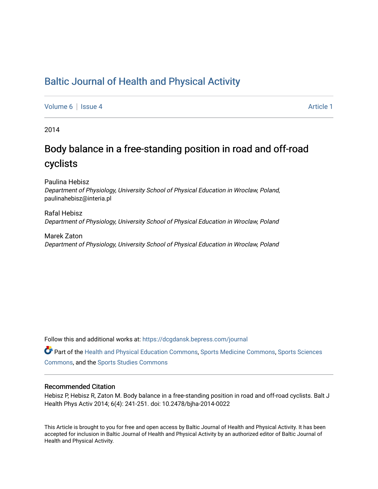## [Baltic Journal of Health and Physical Activity](https://dcgdansk.bepress.com/journal)

[Volume 6](https://dcgdansk.bepress.com/journal/vol6) | [Issue 4](https://dcgdansk.bepress.com/journal/vol6/iss4) Article 1

2014

# Body balance in a free-standing position in road and off-road cyclists

Paulina Hebisz Department of Physiology, University School of Physical Education in Wroclaw, Poland, paulinahebisz@interia.pl

Rafal Hebisz Department of Physiology, University School of Physical Education in Wroclaw, Poland

Marek Zaton Department of Physiology, University School of Physical Education in Wroclaw, Poland

Follow this and additional works at: [https://dcgdansk.bepress.com/journal](https://dcgdansk.bepress.com/journal?utm_source=dcgdansk.bepress.com%2Fjournal%2Fvol6%2Fiss4%2F1&utm_medium=PDF&utm_campaign=PDFCoverPages)

Part of the [Health and Physical Education Commons](http://network.bepress.com/hgg/discipline/1327?utm_source=dcgdansk.bepress.com%2Fjournal%2Fvol6%2Fiss4%2F1&utm_medium=PDF&utm_campaign=PDFCoverPages), [Sports Medicine Commons,](http://network.bepress.com/hgg/discipline/1331?utm_source=dcgdansk.bepress.com%2Fjournal%2Fvol6%2Fiss4%2F1&utm_medium=PDF&utm_campaign=PDFCoverPages) [Sports Sciences](http://network.bepress.com/hgg/discipline/759?utm_source=dcgdansk.bepress.com%2Fjournal%2Fvol6%2Fiss4%2F1&utm_medium=PDF&utm_campaign=PDFCoverPages) [Commons](http://network.bepress.com/hgg/discipline/759?utm_source=dcgdansk.bepress.com%2Fjournal%2Fvol6%2Fiss4%2F1&utm_medium=PDF&utm_campaign=PDFCoverPages), and the [Sports Studies Commons](http://network.bepress.com/hgg/discipline/1198?utm_source=dcgdansk.bepress.com%2Fjournal%2Fvol6%2Fiss4%2F1&utm_medium=PDF&utm_campaign=PDFCoverPages) 

#### Recommended Citation

Hebisz P, Hebisz R, Zaton M. Body balance in a free-standing position in road and off-road cyclists. Balt J Health Phys Activ 2014; 6(4): 241-251. doi: 10.2478/bjha-2014-0022

This Article is brought to you for free and open access by Baltic Journal of Health and Physical Activity. It has been accepted for inclusion in Baltic Journal of Health and Physical Activity by an authorized editor of Baltic Journal of Health and Physical Activity.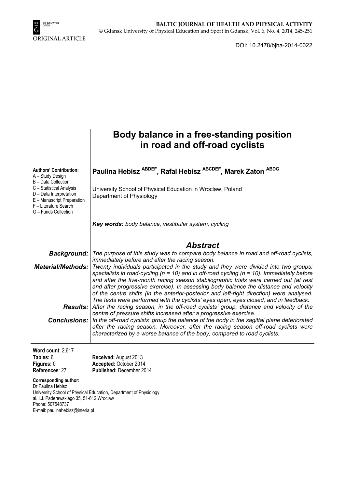

ORIGINAL ARTICLE

DOI: 10.2478/bjha-2014-0022

|                                                                                                                                                                                                                   | Body balance in a free-standing position<br>in road and off-road cyclists                                                                                                                                                                                                                                                                                                                                                                                                                                                                                                                                                                                                                                                                                                                                                                                                                                                                                                                                                                                                                                                                                                  |
|-------------------------------------------------------------------------------------------------------------------------------------------------------------------------------------------------------------------|----------------------------------------------------------------------------------------------------------------------------------------------------------------------------------------------------------------------------------------------------------------------------------------------------------------------------------------------------------------------------------------------------------------------------------------------------------------------------------------------------------------------------------------------------------------------------------------------------------------------------------------------------------------------------------------------------------------------------------------------------------------------------------------------------------------------------------------------------------------------------------------------------------------------------------------------------------------------------------------------------------------------------------------------------------------------------------------------------------------------------------------------------------------------------|
| <b>Authors' Contribution:</b><br>A – Study Design<br>B - Data Collection<br>C - Statistical Analysis<br>D - Data Interpretation<br>E - Manuscript Preparation<br>F - Literature Search<br>G - Funds Collection    | Paulina Hebisz <sup>ABDEF</sup> , Rafal Hebisz <sup>ABCDEF</sup> , Marek Zaton <sup>ABDG</sup><br>University School of Physical Education in Wroclaw, Poland<br>Department of Physiology                                                                                                                                                                                                                                                                                                                                                                                                                                                                                                                                                                                                                                                                                                                                                                                                                                                                                                                                                                                   |
|                                                                                                                                                                                                                   | Key words: body balance, vestibular system, cycling                                                                                                                                                                                                                                                                                                                                                                                                                                                                                                                                                                                                                                                                                                                                                                                                                                                                                                                                                                                                                                                                                                                        |
| <b>Background:</b><br><b>Material/Methods:</b><br><b>Conclusions:</b>                                                                                                                                             | <b>Abstract</b><br>The purpose of this study was to compare body balance in road and off-road cyclists,<br>immediately before and after the racing season.<br>Twenty individuals participated in the study and they were divided into two groups:<br>specialists in road-cycling ( $n = 10$ ) and in off-road cycling ( $n = 10$ ). Immediately before<br>and after the five-month racing season stabilographic trials were carried out (at rest<br>and after progressive exercise). In assessing body balance the distance and velocity<br>of the centre shifts (in the anterior-posterior and left-right direction) were analysed.<br>The tests were performed with the cyclists' eyes open, eyes closed, and in feedback.<br><b>Results:</b> After the racing season, in the off-road cyclists' group, distance and velocity of the<br>centre of pressure shifts increased after a progressive exercise.<br>In the off-road cyclists' group the balance of the body in the sagittal plane deteriorated<br>after the racing season. Moreover, after the racing season off-road cyclists were<br>characterized by a worse balance of the body, compared to road cyclists. |
| Word count: 2,617<br>Tables: 6<br>Figures: 0<br>References: 27<br>Corresponding author:<br>Dr Paulina Hebisz<br>al. I.J. Paderewskiego 35, 51-612 Wroclaw<br>Phone: 507548737<br>E-mail: paulinahebisz@interia.pl | Received: August 2013<br>Accepted: October 2014<br>Published: December 2014<br>University School of Physical Education, Department of Physiology                                                                                                                                                                                                                                                                                                                                                                                                                                                                                                                                                                                                                                                                                                                                                                                                                                                                                                                                                                                                                           |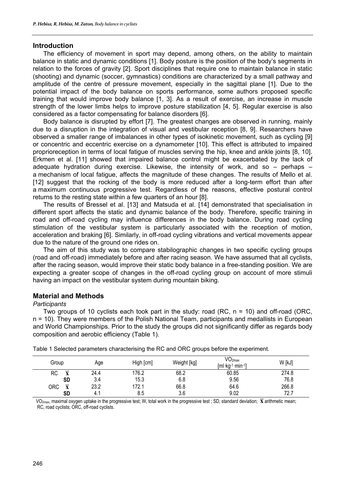#### **Introduction**

The efficiency of movement in sport may depend, among others, on the ability to maintain balance in static and dynamic conditions [1]. Body posture is the position of the body's segments in relation to the forces of gravity [2]. Sport disciplines that require one to maintain balance in static (shooting) and dynamic (soccer, gymnastics) conditions are characterized by a small pathway and amplitude of the centre of pressure movement, especially in the sagittal plane [1]. Due to the potential impact of the body balance on sports performance, some authors proposed specific training that would improve body balance [1, 3]. As a result of exercise, an increase in muscle strength of the lower limbs helps to improve posture stabilization [4, 5]. Regular exercise is also considered as a factor compensating for balance disorders [6].

Body balance is disrupted by effort [7]. The greatest changes are observed in running, mainly due to a disruption in the integration of visual and vestibular reception [8, 9]. Researchers have observed a smaller range of imbalances in other types of isokinetic movement, such as cycling [9] or concentric and eccentric exercise on a dynamometer [10]. This effect is attributed to impaired proprioreception in terms of local fatigue of muscles serving the hip, knee and ankle joints [8, 10]. Erkmen et al. [11] showed that impaired balance control might be exacerbated by the lack of adequate hydration during exercise. Likewise, the intensity of work, and so  $-$  perhaps  $$ a mechanism of local fatigue, affects the magnitude of these changes. The results of Mello et al. [12] suggest that the rocking of the body is more reduced after a long-term effort than after a maximum continuous progressive test. Regardless of the reasons, effective postural control returns to the resting state within a few quarters of an hour [8].

The results of Bressel et al. [13] and Matsuda et al. [14] demonstrated that specialisation in different sport affects the static and dynamic balance of the body. Therefore, specific training in road and off-road cycling may influence differences in the body balance. During road cycling stimulation of the vestibular system is particularly associated with the reception of motion, acceleration and braking [6]. Similarly, in off-road cycling vibrations and vertical movements appear due to the nature of the ground one rides on.

The aim of this study was to compare stabilographic changes in two specific cycling groups (road and off-road) immediately before and after racing season. We have assumed that all cyclists, after the racing season, would improve their static body balance in a free-standing position. We are expecting a greater scope of changes in the off-road cycling group on account of more stimuli having an impact on the vestibular system during mountain biking.

### **Material and Methods**

#### *Participants*

Two groups of 10 cyclists each took part in the study: road (RC, n = 10) and off-road (ORC, n = 10). They were members of the Polish National Team, participants and medallists in European and World Championships. Prior to the study the groups did not significantly differ as regards body composition and aerobic efficiency (Table 1).

| Group                          | Age  | High [cm] | Weight [kg] | VO <sub>2max</sub><br>kg 1 min 1<br>lml | W [kJ] |
|--------------------------------|------|-----------|-------------|-----------------------------------------|--------|
| RC                             | 24.4 | 176.2     | 68.2        | 60.85                                   | 274.8  |
| <b>SD</b>                      | 3.4  | 15.3      | 6.8         | 9.56                                    | 76.8   |
| ORC<br>$\overline{\mathbf{X}}$ | 23.2 | 172.1     | 66.8        | 64.6                                    | 266.8  |
| SD                             | 4. . | 8.5       | 3.6         | 9.02                                    | 72.7   |

Table 1 Selected parameters characterising the RC and ORC groups before the experiment.

 $VO_{2max}$ , maximal oxygen uptake in the progressive test; W, total work in the progressive test; SD, standard deviation;  $\bar{\mathbf{X}}$  arithmetic mean; RC, road cyclists; ORC, off-road cyclists.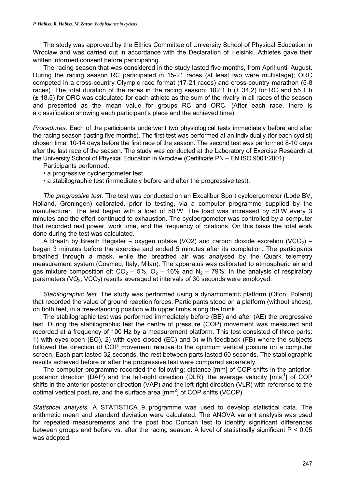The study was approved by the Ethics Committee of University School of Physical Education in Wroclaw and was carried out in accordance with the Declaration of Helsinki. Athletes gave their written informed consent before participating.

The racing season that was considered in the study lasted five months, from April until August. During the racing season RC participated in 15-21 races (at least two were multistage); ORC competed in a cross-country Olympic race format (17-21 races) and cross-country marathon (5-8 races). The total duration of the races in the racing season: 102.1 h ( $\pm$  34.2) for RC and 55.1 h (± 18.5) for ORC was calculated for each athlete as the sum of the rivalry in all races of the season and presented as the mean value for groups RC and ORC. (After each race, there is a classification showing each participant's place and the achieved time).

*Procedures.* Each of the participants underwent two physiological tests immediately before and after the racing season (lasting five months). The first test was performed at an individually (for each cyclist) chosen time, 10-14 days before the first race of the season. The second test was performed 8-10 days after the last race of the season. The study was conducted at the Laboratory of Exercise Research at the University School of Physical Education in Wroclaw (Certificate PN – EN ISO 9001:2001).

Participants performed:

- a progressive cycloergometer test,
- a stabilographic test (immediately before and after the progressive test).

*The progressive test*. The test was conducted on an Excalibur Sport cycloergometer (Lode BV, Holland, Groningen) calibrated, prior to testing, via a computer programme supplied by the manufacturer. The test began with a load of 50 W. The load was increased by 50 W every 3 minutes and the effort continued to exhaustion. The cycloergometer was controlled by a computer that recorded real power, work time, and the frequency of rotations. On this basis the total work done during the test was calculated.

A Breath by Breath Register – oxygen uptake (VO2) and carbon dioxide excretion (VCO<sub>2</sub>) – began 3 minutes before the exercise and ended 5 minutes after its completion. The participants breathed through a mask, while the breathed air was analysed by the Quark telemetry measurement system (Cosmed, Italy, Milan). The apparatus was calibrated to atmospheric air and gas mixture composition of:  $CO<sub>2</sub> - 5$ %,  $O<sub>2</sub> - 16$ % and N<sub>2</sub> – 79%. In the analysis of respiratory parameters  $(VO_2, VCO_2)$  results averaged at intervals of 30 seconds were employed.

*Stabilographic test*. The study was performed using a dynamometric platform (Olton, Poland) that recorded the value of ground reaction forces. Participants stood on a platform (without shoes), on both feet, in a free-standing position with upper limbs along the trunk.

The stabilographic test was performed immediately before (BE) and after (AE) the progressive test. During the stabilographic test the centre of pressure (COP) movement was measured and recorded at a frequency of 100 Hz by a measurement platform. This test consisted of three parts: 1) with eyes open (EO), 2) with eyes closed (EC) and 3) with feedback (FB) where the subjects followed the direction of COP movement relative to the optimum vertical posture on a computer screen. Each part lasted 32 seconds, the rest between parts lasted 60 seconds. The stabilographic results achieved before or after the progressive test were compared separately.

The computer programme recorded the following: distance [mm] of COP shifts in the anteriorposterior direction (DAP) and the left-right direction (DLR), the average velocity  $[m \cdot s^{-1}]$  of COP shifts in the anterior-posterior direction (VAP) and the left-right direction (VLR) with reference to the optimal vertical posture, and the surface area  $\text{[mm}^2\text{]}$  of COP shifts (VCOP).

*Statistical analysis.* A STATISTICA 9 programme was used to develop statistical data. The arithmetic mean and standard deviation were calculated. The ANOVA variant analysis was used for repeated measurements and the post hoc Duncan test to identify significant differences between groups and before vs. after the racing season. A level of statistically significant P < 0.05 was adopted.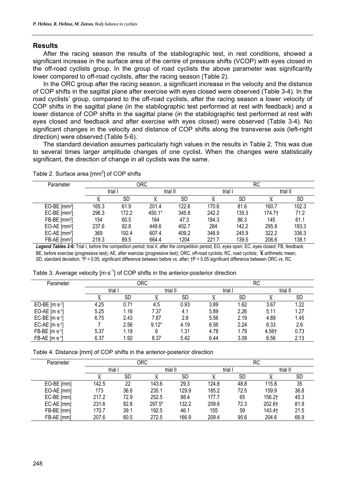## **Results**

After the racing season the results of the stabilographic test, in rest conditions, showed a significant increase in the surface area of the centre of pressure shifts (VCOP) with eyes closed in the off-road cyclists group. In the group of road cyclists the above parameter was significantly lower compared to off-road cyclists, after the racing season (Table 2).

In the ORC group after the racing season, a significant increase in the velocity and the distance of COP shifts in the sagittal plane after exercise with eyes closed were observed (Table 3-4). In the road cyclists' group, compared to the off-road cyclists, after the racing season a lower velocity of COP shifts in the sagittal plane (in the stabilographic test performed at rest with feedback) and a lower distance of COP shifts in the sagittal plane (in the stabilographic test performed at rest with eyes closed and feedback and after exercise with eyes closed) were observed (Table 3-4). No significant changes in the velocity and distance of COP shifts along the transverse axis (left-right direction) were observed (Table 5-6).

The standard deviation assumes particularly high values in the results in Table 2. This was due to several times larger amplitude changes of one cyclist. When the changes were statistically significant, the direction of change in all cyclists was the same.

| Parameter                  |       |           | <b>ORC</b> |           | RC    |           |        |          |
|----------------------------|-------|-----------|------------|-----------|-------|-----------|--------|----------|
|                            |       | trial     |            | trial II  |       | trial I   |        | trial II |
|                            |       | <b>SD</b> |            | <b>SD</b> | X     | <b>SD</b> |        | SD       |
| $EO-BE$ [mm <sup>2</sup> ] | 165.3 | 61.9      | 201.4      | 122.6     | 170.6 | 81.6      | 160.7  | 102.3    |
| $EC-BE$ [mm <sup>2</sup> ] | 296.3 | 172.2     | 450.1*     | 345.8     | 242.2 | 135.3     | 174.7† | 71.2     |
| $FB-BE$ [mm <sup>2</sup> ] | 154   | 60.5      | 164        | 47.3      | 184.3 | 86.3      | 145    | 61.1     |
| $EO-AE$ [mm <sup>2</sup> ] | 237.6 | 92.8      | 449.6      | 402.7     | 284   | 142.2     | 295.8  | 193.3    |
| EC-AE $\text{[mm2]}$       | 369   | 192.4     | 607.4      | 409.2     | 348.9 | 245.9     | 322.2  | 336.3    |
| FB-AE [mm <sup>2</sup> ]   | 219.3 | 89.5      | 664.4      | 1204      | 221.7 | 139.5     | 206.6  | 138.1    |

Table 2. Surface area  $\text{[mm}^2\text{]}$  of COP shifts

Legend Tables 2-6: Trial I, before the competition period; trial II, after the competition period; EO, eyes open; EC, eyes closed; FB, feedback; BE, before exercise (progressive test); AE, after exercise (progressive test); ORC, off-road cyclists; RC, road cyclists; **x** arithmetic mean; SD, standard deviation; \*P < 0.05, significant difference between before vs. after**;** †P < 0.05 significant difference between ORC vs. RC.

| Parameter                |         | RC   |         |      |       |           |          |           |
|--------------------------|---------|------|---------|------|-------|-----------|----------|-----------|
|                          | trial I |      | trial I |      | trial |           | trial II |           |
|                          | x       | SD   |         | SD   | x     | <b>SD</b> | л        | <b>SD</b> |
| EO-BE $[m s^{-1}]$       | 4.25    | 0.71 | 4.5     | 0.93 | 3.89  | 1.62      | 3.67     | 1.22      |
| EO-AE [m s-1]            | 5.25    | 1.16 | 7.37    | 4.1  | 5.89  | 2.26      | 5.11     | 1.27      |
| EC-BE $[m s-1]$          | 6.75    | 2.43 | 7.87    | 2.8  | 5.56  | 2.19      | 4.89     | 1.45      |
| EC-AE $[m \cdot s^{-1}]$ |         | 2.56 | $9.12*$ | 4.19 | 6.56  | 2.24      | 6.33     | 2.6       |
| FB-BE [m ·s-1]           | 5.37    | 1.19 |         | 1.31 | 4.78  | 1.79      | 4.561    | 0.73      |
| $FB-AE$ [m $s-1$ ]       | 6.37    | 1.92 | 8.37    | 5.42 | 6.44  | 3.09      | 6.56     | 2.13      |

Table 3. Average velocity  $[m \cdot s^{-1}]$  of COP shifts in the anterior-posterior direction

| Parameter  |       | <b>ORC</b> |         | RC    |       |           |          |      |
|------------|-------|------------|---------|-------|-------|-----------|----------|------|
|            | trial |            | trial I |       | trial |           | trial II |      |
|            |       | SD         |         | SD    |       | <b>SD</b> |          | SD   |
| EO-BE [mm] | 142.5 | 22         | 143.6   | 29.3  | 124.8 | 48.8      | 115.8    | 35   |
| EO-AE [mm] | 173   | 36.6       | 235.1   | 129.9 | 185.2 | 72.5      | 159.9    | 36.8 |
| EC-BE [mm] | 217.2 | 72.9       | 252.5   | 88.4  | 177.7 | 65        | 156.2†   | 45.3 |
| EC-AE [mm] | 231.6 | 82.8       | 297.5*  | 132.2 | 209.6 | 72.3      | 202.61   | 81.9 |
| FB-BE [mm] | 170.7 | 39.1       | 192.5   | 46.1  | 155   | 59        | 143.4†   | 21.5 |
| FB-AE [mm] | 207.6 | 60.5       | 272.5   | 166.9 | 209.4 | 95.6      | 204.6    | 66.9 |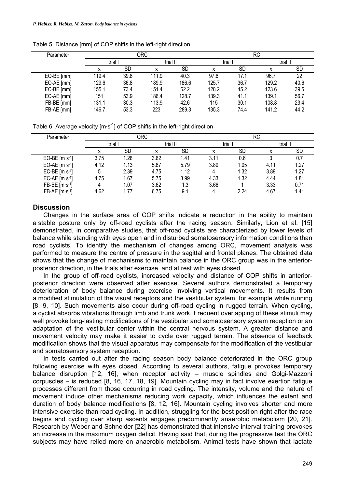| Parameter  |       |           | ORC      |           | <b>RC</b> |           |          |      |
|------------|-------|-----------|----------|-----------|-----------|-----------|----------|------|
|            | trial |           | trial II |           | trial I   |           | trial II |      |
|            |       | <b>SD</b> |          | <b>SD</b> |           | <b>SD</b> |          | SD   |
| EO-BE [mm] | 119.4 | 39.8      | 111.9    | 40.3      | 97.6      | 17.1      | 96.7     | 22   |
| EO-AE [mm] | 129.6 | 36.8      | 189.9    | 186.6     | 125.7     | 36.7      | 129.2    | 40.6 |
| EC-BE [mm] | 155.1 | 73.4      | 151.4    | 62.2      | 128.2     | 45.2      | 123.6    | 39.5 |
| EC-AE [mm] | 151   | 53.9      | 186.4    | 128.7     | 139.3     | 41.1      | 139.1    | 56.7 |
| FB-BE [mm] | 131.1 | 30.3      | 113.9    | 42.6      | 115       | 30.1      | 108.8    | 23.4 |
| FB-AE [mm] | 146.7 | 53.3      | 223      | 289.3     | 135.3     | 74.4      | 141.2    | 44.2 |

Table 5. Distance [mm] of COP shifts in the left-right direction

Table 6. Average velocity  $[m \cdot s^{-1}]$  of COP shifts in the left-right direction

| Parameter       |       |      | <b>ORC</b> |           | <b>RC</b> |           |      |          |  |
|-----------------|-------|------|------------|-----------|-----------|-----------|------|----------|--|
|                 | trial |      | trial II   |           |           | trial     |      | trial II |  |
|                 |       | SD   |            | <b>SD</b> |           | <b>SD</b> |      | SD       |  |
| EO-BE $[m s-1]$ | 3.75  | .28  | 3.62       | 1.41      | 3.11      | 0.6       |      |          |  |
| EO-AE $[m s-1]$ | 4.12  | 1.13 | 5.87       | 5.79      | 3.89      | 1.05      | 4.11 | 1.27     |  |
| EC-BE $[m s-1]$ | 5     | 2.39 | 4.75       | 1.12      | 4         | 1.32      | 3.89 | 1.27     |  |
| EC-AE $[m s-1]$ | 4.75  | 1.67 | 5.75       | 3.99      | 4.33      | 1.32      | 4.44 | 1.81     |  |
| FB-BE [m s-1]   |       | 1.07 | 3.62       | 1.3       | 3.66      |           | 3.33 | 0.71     |  |
| FB-AE [m ·s-1]  | 4.62  | . 77 | 6.75       | 9.1       |           | 2.24      | 4.67 | 1.41     |  |

## **Discussion**

Changes in the surface area of COP shifts indicate a reduction in the ability to maintain a stable posture only by off-road cyclists after the racing season. Similarly, Lion et al. [15] demonstrated, in comparative studies, that off-road cyclists are characterized by lower levels of balance while standing with eyes open and in disturbed somatosensory information conditions than road cyclists. To identify the mechanism of changes among ORC, movement analysis was performed to measure the centre of pressure in the sagittal and frontal planes. The obtained data shows that the change of mechanisms to maintain balance in the ORC group was in the anteriorposterior direction, in the trials after exercise, and at rest with eyes closed.

In the group of off-road cyclists, increased velocity and distance of COP shifts in anteriorposterior direction were observed after exercise. Several authors demonstrated a temporary deterioration of body balance during exercise involving vertical movements. It results from a modified stimulation of the visual receptors and the vestibular system, for example while running [8, 9, 10]. Such movements also occur during off-road cycling in rugged terrain. When cycling, a cyclist absorbs vibrations through limb and trunk work. Frequent overlapping of these stimuli may well provoke long-lasting modifications of the vestibular and somatosensory system reception or an adaptation of the vestibular center within the central nervous system. A greater distance and movement velocity may make it easier to cycle over rugged terrain. The absence of feedback modification shows that the visual apparatus may compensate for the modification of the vestibular and somatosensory system reception.

In tests carried out after the racing season body balance deteriorated in the ORC group following exercise with eyes closed. According to several authors, fatigue provokes temporary balance disruption [12, 16], when receptor activity – muscle spindles and Golgi-Mazzoni corpuscles – is reduced [8, 16, 17, 18, 19]. Mountain cycling may in fact involve exertion fatigue processes different from those occurring in road cycling. The intensity, volume and the nature of movement induce other mechanisms reducing work capacity, which influences the extent and duration of body balance modifications [8, 12, 16]. Mountain cycling involves shorter and more intensive exercise than road cycling. In addition, struggling for the best position right after the race begins and cycling over sharp ascents engages predominantly anaerobic metabolism [20, 21]. Research by Weber and Schneider [22] has demonstrated that intensive interval training provokes an increase in the maximum oxygen deficit. Having said that, during the progressive test the ORC subjects may have relied more on anaerobic metabolism. Animal tests have shown that lactate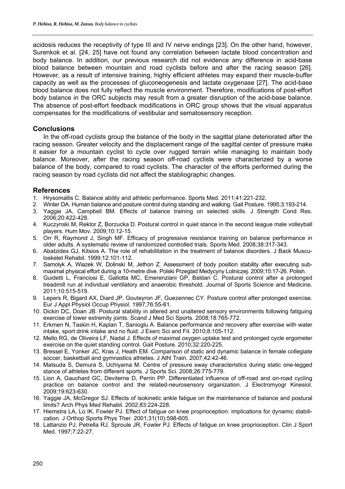acidosis reduces the receptivity of type III and IV nerve endings [23]. On the other hand, however, Surenkok et al. [24, 25] have not found any correlation between lactate blood concentration and body balance. In addition, our previous research did not evidence any difference in acid-base blood balance between mountain and road cyclists before and after the racing season [26]. However, as a result of intensive training, highly efficient athletes may expand their muscle-buffer capacity as well as the processes of gluconeogenesis and lactate oxygenase [27]. The acid-base blood balance does not fully reflect the muscle environment. Therefore, modifications of post-effort body balance in the ORC subjects may result from a greater disruption of the acid-base balance. The absence of post-effort feedback modifications in ORC group shows that the visual apparatus compensates for the modifications of vestibular and sematosensory reception.

## **Conclusions**

In the off-road cyclists group the balance of the body in the sagittal plane deteriorated after the racing season. Greater velocity and the displacement range of the sagittal center of pressure make it easier for a mountain cyclist to cycle over rugged terrain while managing to maintain body balance. Moreover, after the racing season off-road cyclists were characterized by a worse balance of the body, compared to road cyclists. The character of the efforts performed during the racing season by road cyclists did not affect the stabliographic changes.

## **References**

- 1. Hrysomallis C. Balance ability and athletic performance. Sports Med. 2011;41:221-232.
- 2. Winter DA. Human balance and posture control during standing and walking. Gait Posture. 1995;3:193-214.
- 3. Yaggie JA, Campbell BM. Effects of balance training on selected skills. J Strength Cond Res. 2006;20:422-428.
- 4. Kuczynski M, Rektor Z, Borzucka D. Postural control in quiet stance in the second league male volleyball players. Hum Mov. 2009;10:12-15.
- 5. Orr R, Raymond J, Singh MF. Efficacy of progressive resistance training on balance performance in older adults. A systematic review of randomized controlled trials. Sports Med. 2008;38:317-343.
- 6. Abatzides GJ, Kitsios A. The role of rehabilitation in the treatment of balance disorders. J Back Musculoskelet Rehabil. 1999;12:101-112.
- 7. Samolyk A, Wiazek W, Dolinski M, Jethon Z. Assessment of body position stability after executing submaximal physical effort during a 10-metre dive. Polski Przeglad Medycyny Lotniczej. 2009;15:17-26. Polish.
- 8. Guidetti L, Franciosi E, Gallotta MC, Emerenziani GP, Baldari C. Postural control after a prolonged treadmill run at individual ventilatory and anaerobic threshold. Journal of Sports Science and Medicine. 2011;10:515-519.
- 9. Lepers R, Bigard AX, Diard JP, Gouteyron JF, Guezennec CY. Posture control after prolonged exercise. Eur J Appl Physiol Occup Physiol. 1997;76:55-61.
- 10. Dickin DC, Doan JB. Postural stability in altered and unaltered sensory environments following fatiguing exercise of lower extremity joints. Scand J Med Sci Sports. 2008;18:765-772.
- 11. Erkmen N, Taskin H, Kaplan T, Sanioglu A. Balance performance and recovery after exercise with water intake, sport drink intake and no fluid. J Exerc Sci and Fit. 2010;8:105-112.
- 12. Mello RG, de Oliveira LF, Nadal J. Effects of maximal oxygen uptake test and prolonged cycle ergometer exercise on the quiet standing control. Gait Posture. 2010;32:220-225.
- 13. Bressel E, Yonker JC, Kras J, Heath EM. Comparison of static and dynamic balance in female collegiate soccer, basketball and gymnastics athletes. J Athl Train. 2007;42:42-46.
- 14. Matsuda S, Demura S, Uchiyama M. Centre of pressure sway characteristics during static one-legged stance of athletes from different sports. J Sports Sci. 2008;26:775-779.
- 15. Lion A, Gauchard GC, Deviterne D, Perrin PP. Differentiated influence of off-road and on-road cycling practice on balance control and the related-neurosensory organization. J Electromyogr Kinesiol. 2009;19:623-630.
- 16. Yaggie JA, McGregor SJ. Effects of isokinetic ankle fatigue on the maintenance of balance and postural limits? Arch Phys Med Rehabil. 2002;83:224-228.
- 17. Hiemstra LA, Lo IK, Fowler PJ. Effect of fatigue on knee proprioception: implications for dynamic stabilization. J Orthop Sports Phys Ther. 2001;31(10):598-605.
- 18. Lattanzio PJ, Petrella RJ, Sproule JR, Fowler PJ. Effects of fatigue on knee proprioception. Clin J Sport Med. 1997;7:22-27.